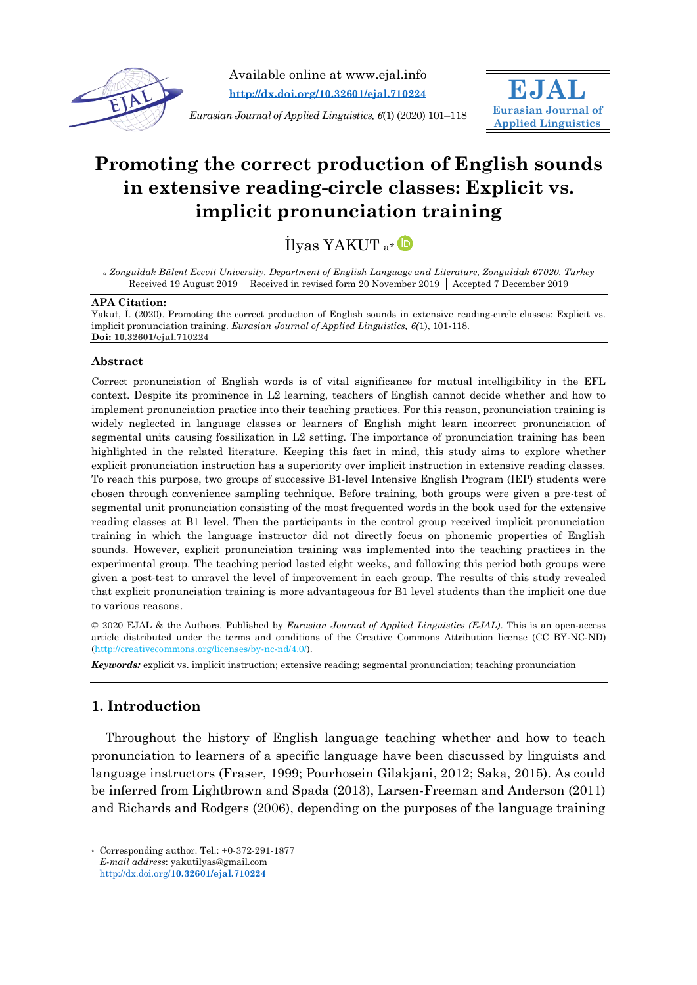

Available online at www.ejal.info **<http://dx.doi.org/10.32601/ejal.710224>**

*Eurasian Journal of Applied Linguistics, 6*(1) (2020) 101–118



# **Promoting the correct production of English sounds in extensive reading-circle classes: Explicit vs. implicit pronunciation training**

İlyas YAKUT a[\\*](https://orcid.org/0000-0001-9680-4561)

*<sup>a</sup> Zonguldak Bülent Ecevit University, Department of English Language and Literature, Zonguldak 67020, Turkey* Received 19 August 2019 Received in revised form 20 November 2019 Accepted 7 December 2019

#### **APA Citation:**

Yakut, İ. (2020). Promoting the correct production of English sounds in extensive reading-circle classes: Explicit vs. implicit pronunciation training. *Eurasian Journal of Applied Linguistics, 6(*1), 101-118. **Doi: 10.32601/ejal.710224**

#### **Abstract**

Correct pronunciation of English words is of vital significance for mutual intelligibility in the EFL context. Despite its prominence in L2 learning, teachers of English cannot decide whether and how to implement pronunciation practice into their teaching practices. For this reason, pronunciation training is widely neglected in language classes or learners of English might learn incorrect pronunciation of segmental units causing fossilization in L2 setting. The importance of pronunciation training has been highlighted in the related literature. Keeping this fact in mind, this study aims to explore whether explicit pronunciation instruction has a superiority over implicit instruction in extensive reading classes. To reach this purpose, two groups of successive B1-level Intensive English Program (IEP) students were chosen through convenience sampling technique. Before training, both groups were given a pre-test of segmental unit pronunciation consisting of the most frequented words in the book used for the extensive reading classes at B1 level. Then the participants in the control group received implicit pronunciation training in which the language instructor did not directly focus on phonemic properties of English sounds. However, explicit pronunciation training was implemented into the teaching practices in the experimental group. The teaching period lasted eight weeks, and following this period both groups were given a post-test to unravel the level of improvement in each group. The results of this study revealed that explicit pronunciation training is more advantageous for B1 level students than the implicit one due to various reasons.

© 2020 EJAL & the Authors. Published by *Eurasian Journal of Applied Linguistics (EJAL)*. This is an open-access article distributed under the terms and conditions of the Creative Commons Attribution license (CC BY-NC-ND) (http://creativecommons.org/licenses/by-nc-nd/4.0/).

*Keywords:* explicit vs. implicit instruction; extensive reading; segmental pronunciation; teaching pronunciation

## **1. Introduction**

Throughout the history of English language teaching whether and how to teach pronunciation to learners of a specific language have been discussed by linguists and language instructors (Fraser, 1999; Pourhosein Gilakjani, 2012; Saka, 2015). As could be inferred from Lightbrown and Spada (2013), Larsen-Freeman and Anderson (2011) and Richards and Rodgers (2006), depending on the purposes of the language training

\* Corresponding author. Tel.: +0-372-291-1877 *E-mail address*: yakutilyas@gmail.com http://dx.doi.org/**[10.32601/ejal.710224](http://dx.doi.org/10.32601/ejal.710224)**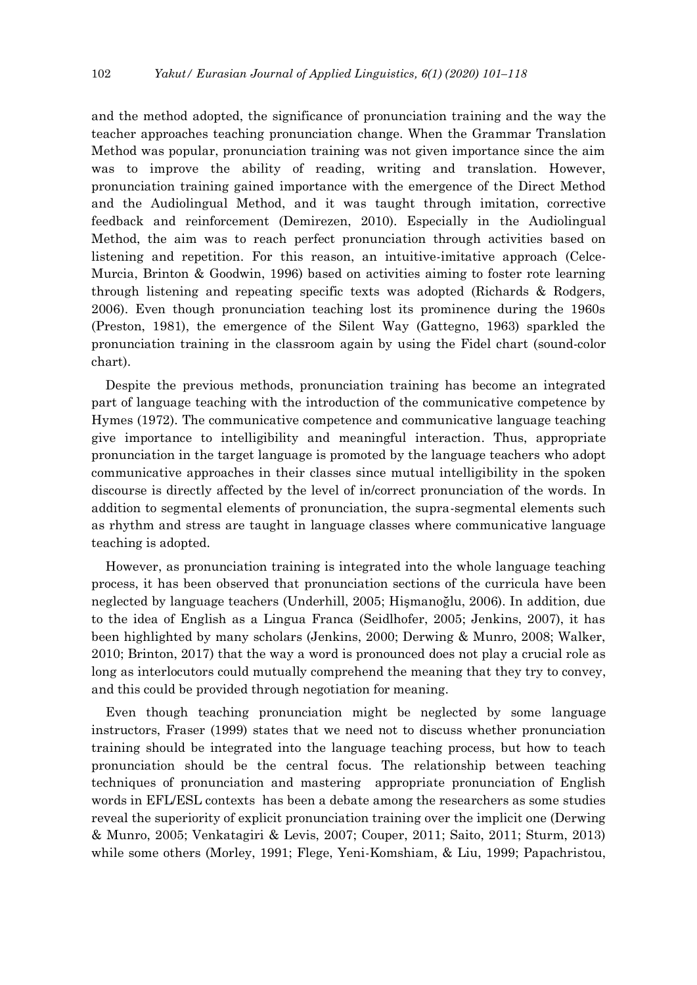and the method adopted, the significance of pronunciation training and the way the teacher approaches teaching pronunciation change. When the Grammar Translation Method was popular, pronunciation training was not given importance since the aim was to improve the ability of reading, writing and translation. However, pronunciation training gained importance with the emergence of the Direct Method and the Audiolingual Method, and it was taught through imitation, corrective feedback and reinforcement (Demirezen, 2010). Especially in the Audiolingual Method, the aim was to reach perfect pronunciation through activities based on listening and repetition. For this reason, an intuitive-imitative approach (Celce-Murcia, Brinton & Goodwin, 1996) based on activities aiming to foster rote learning through listening and repeating specific texts was adopted (Richards & Rodgers, 2006). Even though pronunciation teaching lost its prominence during the 1960s (Preston, 1981), the emergence of the Silent Way (Gattegno, 1963) sparkled the pronunciation training in the classroom again by using the Fidel chart (sound-color chart).

Despite the previous methods, pronunciation training has become an integrated part of language teaching with the introduction of the communicative competence by Hymes (1972). The communicative competence and communicative language teaching give importance to intelligibility and meaningful interaction. Thus, appropriate pronunciation in the target language is promoted by the language teachers who adopt communicative approaches in their classes since mutual intelligibility in the spoken discourse is directly affected by the level of in/correct pronunciation of the words. In addition to segmental elements of pronunciation, the supra-segmental elements such as rhythm and stress are taught in language classes where communicative language teaching is adopted.

However, as pronunciation training is integrated into the whole language teaching process, it has been observed that pronunciation sections of the curricula have been neglected by language teachers (Underhill, 2005; Hişmanoğlu, 2006). In addition, due to the idea of English as a Lingua Franca (Seidlhofer, 2005; Jenkins, 2007), it has been highlighted by many scholars (Jenkins, 2000; Derwing & Munro, 2008; Walker, 2010; Brinton, 2017) that the way a word is pronounced does not play a crucial role as long as interlocutors could mutually comprehend the meaning that they try to convey, and this could be provided through negotiation for meaning.

Even though teaching pronunciation might be neglected by some language instructors, Fraser (1999) states that we need not to discuss whether pronunciation training should be integrated into the language teaching process, but how to teach pronunciation should be the central focus. The relationship between teaching techniques of pronunciation and mastering appropriate pronunciation of English words in EFL/ESL contexts has been a debate among the researchers as some studies reveal the superiority of explicit pronunciation training over the implicit one (Derwing & Munro, 2005; Venkatagiri & Levis, 2007; Couper, 2011; Saito, 2011; Sturm, 2013) while some others (Morley, 1991; Flege, Yeni-Komshiam, & Liu, 1999; Papachristou,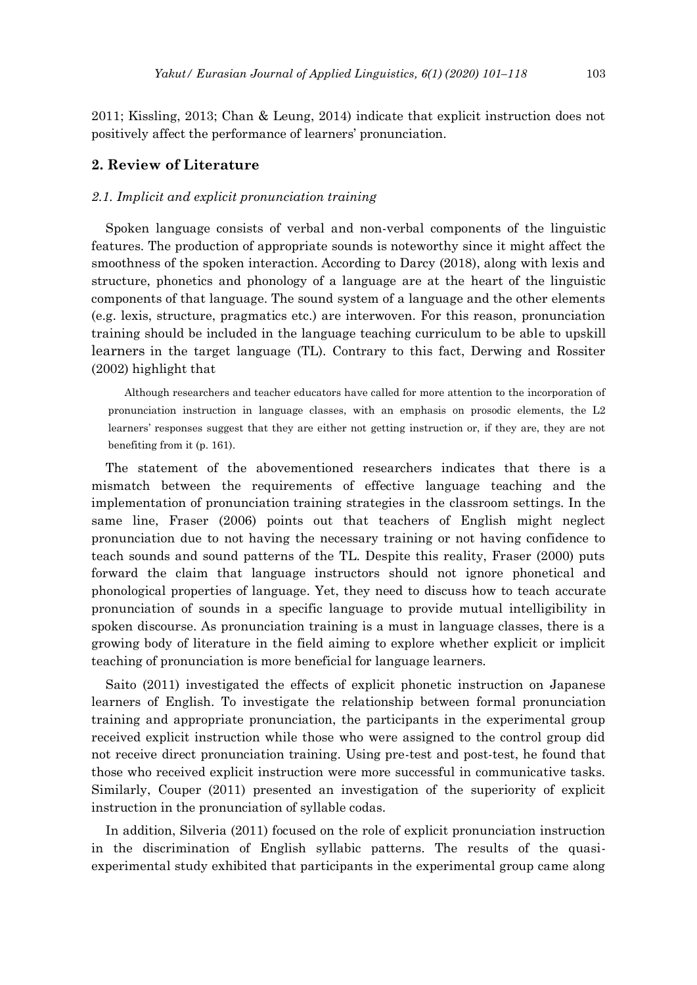2011; Kissling, 2013; Chan & Leung, 2014) indicate that explicit instruction does not positively affect the performance of learners' pronunciation.

## **2. Review of Literature**

#### *2.1. Implicit and explicit pronunciation training*

Spoken language consists of verbal and non-verbal components of the linguistic features. The production of appropriate sounds is noteworthy since it might affect the smoothness of the spoken interaction. According to Darcy (2018), along with lexis and structure, phonetics and phonology of a language are at the heart of the linguistic components of that language. The sound system of a language and the other elements (e.g. lexis, structure, pragmatics etc.) are interwoven. For this reason, pronunciation training should be included in the language teaching curriculum to be able to upskill learners in the target language (TL). Contrary to this fact, Derwing and Rossiter (2002) highlight that

Although researchers and teacher educators have called for more attention to the incorporation of pronunciation instruction in language classes, with an emphasis on prosodic elements, the L2 learners' responses suggest that they are either not getting instruction or, if they are, they are not benefiting from it (p. 161).

The statement of the abovementioned researchers indicates that there is a mismatch between the requirements of effective language teaching and the implementation of pronunciation training strategies in the classroom settings. In the same line, Fraser (2006) points out that teachers of English might neglect pronunciation due to not having the necessary training or not having confidence to teach sounds and sound patterns of the TL. Despite this reality, Fraser (2000) puts forward the claim that language instructors should not ignore phonetical and phonological properties of language. Yet, they need to discuss how to teach accurate pronunciation of sounds in a specific language to provide mutual intelligibility in spoken discourse. As pronunciation training is a must in language classes, there is a growing body of literature in the field aiming to explore whether explicit or implicit teaching of pronunciation is more beneficial for language learners.

Saito (2011) investigated the effects of explicit phonetic instruction on Japanese learners of English. To investigate the relationship between formal pronunciation training and appropriate pronunciation, the participants in the experimental group received explicit instruction while those who were assigned to the control group did not receive direct pronunciation training. Using pre-test and post-test, he found that those who received explicit instruction were more successful in communicative tasks. Similarly, Couper (2011) presented an investigation of the superiority of explicit instruction in the pronunciation of syllable codas.

In addition, Silveria (2011) focused on the role of explicit pronunciation instruction in the discrimination of English syllabic patterns. The results of the quasiexperimental study exhibited that participants in the experimental group came along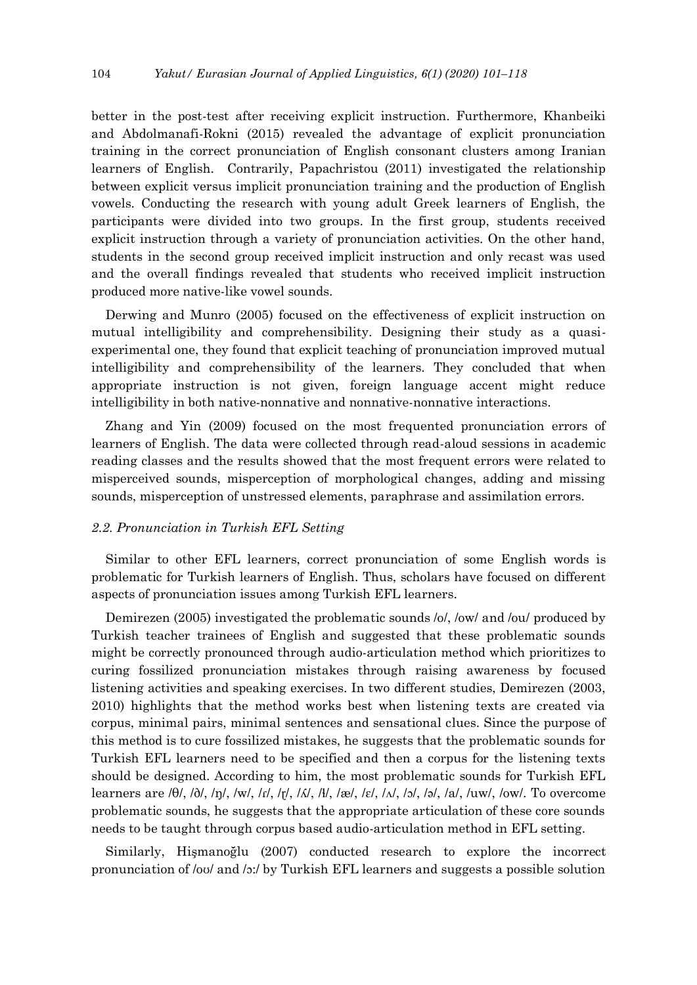better in the post-test after receiving explicit instruction. Furthermore, Khanbeiki and Abdolmanafi-Rokni (2015) revealed the advantage of explicit pronunciation training in the correct pronunciation of English consonant clusters among Iranian learners of English. Contrarily, Papachristou (2011) investigated the relationship between explicit versus implicit pronunciation training and the production of English vowels. Conducting the research with young adult Greek learners of English, the participants were divided into two groups. In the first group, students received explicit instruction through a variety of pronunciation activities. On the other hand, students in the second group received implicit instruction and only recast was used and the overall findings revealed that students who received implicit instruction produced more native-like vowel sounds.

Derwing and Munro (2005) focused on the effectiveness of explicit instruction on mutual intelligibility and comprehensibility. Designing their study as a quasiexperimental one, they found that explicit teaching of pronunciation improved mutual intelligibility and comprehensibility of the learners. They concluded that when appropriate instruction is not given, foreign language accent might reduce intelligibility in both native-nonnative and nonnative-nonnative interactions.

Zhang and Yin (2009) focused on the most frequented pronunciation errors of learners of English. The data were collected through read-aloud sessions in academic reading classes and the results showed that the most frequent errors were related to misperceived sounds, misperception of morphological changes, adding and missing sounds, misperception of unstressed elements, paraphrase and assimilation errors.

#### *2.2. Pronunciation in Turkish EFL Setting*

Similar to other EFL learners, correct pronunciation of some English words is problematic for Turkish learners of English. Thus, scholars have focused on different aspects of pronunciation issues among Turkish EFL learners.

Demirezen (2005) investigated the problematic sounds /o/, /ow/ and /ou/ produced by Turkish teacher trainees of English and suggested that these problematic sounds might be correctly pronounced through audio-articulation method which prioritizes to curing fossilized pronunciation mistakes through raising awareness by focused listening activities and speaking exercises. In two different studies, Demirezen (2003, 2010) highlights that the method works best when listening texts are created via corpus, minimal pairs, minimal sentences and sensational clues. Since the purpose of this method is to cure fossilized mistakes, he suggests that the problematic sounds for Turkish EFL learners need to be specified and then a corpus for the listening texts should be designed. According to him, the most problematic sounds for Turkish EFL learners are /θ/, /ð/, /ŋ/, /w/, /ɾ/, /ɽ/, /ʎ/, /ɬ/, /æ/, /ɛ/, /ʌ/, /ɔ/, /ə/, /a/, /uw/, /ow/. To overcome problematic sounds, he suggests that the appropriate articulation of these core sounds needs to be taught through corpus based audio-articulation method in EFL setting.

Similarly, Hişmanoğlu (2007) conducted research to explore the incorrect pronunciation of /oʊ/ and /ɔ:/ by Turkish EFL learners and suggests a possible solution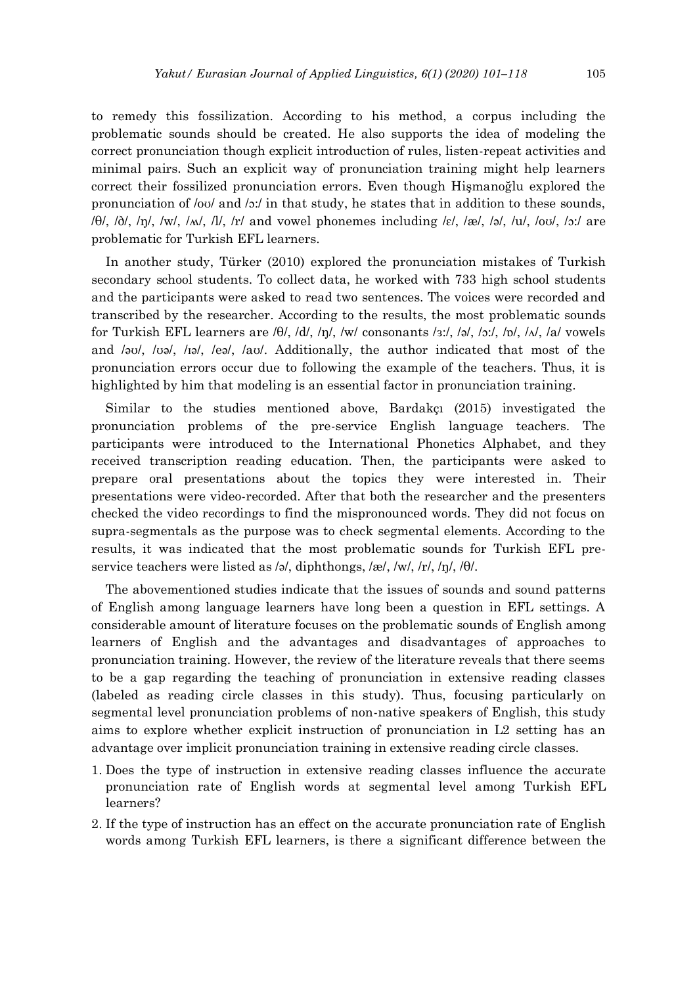to remedy this fossilization. According to his method, a corpus including the problematic sounds should be created. He also supports the idea of modeling the correct pronunciation though explicit introduction of rules, listen-repeat activities and minimal pairs. Such an explicit way of pronunciation training might help learners correct their fossilized pronunciation errors. Even though Hişmanoğlu explored the pronunciation of /oʊ/ and /ɔ:/ in that study, he states that in addition to these sounds, /θ/, /ð/, /ŋ/, /w/, /ʍ/, /l/, /r/ and vowel phonemes including /ɛ/, /æ/, /ə/, /u/, /oʊ/, /ɔ:/ are problematic for Turkish EFL learners.

In another study, Türker (2010) explored the pronunciation mistakes of Turkish secondary school students. To collect data, he worked with 733 high school students and the participants were asked to read two sentences. The voices were recorded and transcribed by the researcher. According to the results, the most problematic sounds for Turkish EFL learners are  $\theta$ ,  $\frac{d}{d}$ ,  $\frac{d}{d}$ ,  $\frac{d}{d}$  consonants /ɜ:/, /ə/, /ɔ:/, /ɒ/, /ʌ/, /a/ vowels and /əʊ/, /ʊə/, /ɪə/, /eə/, /aʊ/. Additionally, the author indicated that most of the pronunciation errors occur due to following the example of the teachers. Thus, it is highlighted by him that modeling is an essential factor in pronunciation training.

Similar to the studies mentioned above, Bardakçı (2015) investigated the pronunciation problems of the pre-service English language teachers. The participants were introduced to the International Phonetics Alphabet, and they received transcription reading education. Then, the participants were asked to prepare oral presentations about the topics they were interested in. Their presentations were video-recorded. After that both the researcher and the presenters checked the video recordings to find the mispronounced words. They did not focus on supra-segmentals as the purpose was to check segmental elements. According to the results, it was indicated that the most problematic sounds for Turkish EFL preservice teachers were listed as /ə/, diphthongs, /æ/, /w/, /r/, /ŋ/, /θ/.

The abovementioned studies indicate that the issues of sounds and sound patterns of English among language learners have long been a question in EFL settings. A considerable amount of literature focuses on the problematic sounds of English among learners of English and the advantages and disadvantages of approaches to pronunciation training. However, the review of the literature reveals that there seems to be a gap regarding the teaching of pronunciation in extensive reading classes (labeled as reading circle classes in this study). Thus, focusing particularly on segmental level pronunciation problems of non-native speakers of English, this study aims to explore whether explicit instruction of pronunciation in L2 setting has an advantage over implicit pronunciation training in extensive reading circle classes.

- 1. Does the type of instruction in extensive reading classes influence the accurate pronunciation rate of English words at segmental level among Turkish EFL learners?
- 2. If the type of instruction has an effect on the accurate pronunciation rate of English words among Turkish EFL learners, is there a significant difference between the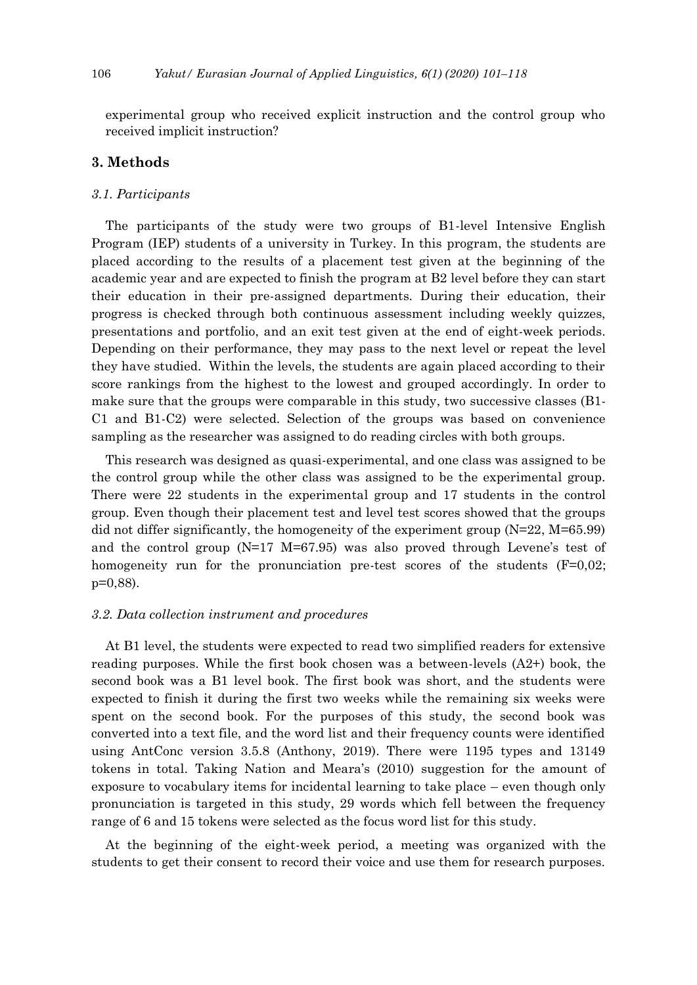experimental group who received explicit instruction and the control group who received implicit instruction?

## **3. Methods**

#### *3.1. Participants*

The participants of the study were two groups of B1-level Intensive English Program (IEP) students of a university in Turkey. In this program, the students are placed according to the results of a placement test given at the beginning of the academic year and are expected to finish the program at B2 level before they can start their education in their pre-assigned departments. During their education, their progress is checked through both continuous assessment including weekly quizzes, presentations and portfolio, and an exit test given at the end of eight-week periods. Depending on their performance, they may pass to the next level or repeat the level they have studied. Within the levels, the students are again placed according to their score rankings from the highest to the lowest and grouped accordingly. In order to make sure that the groups were comparable in this study, two successive classes (B1- C1 and B1-C2) were selected. Selection of the groups was based on convenience sampling as the researcher was assigned to do reading circles with both groups.

This research was designed as quasi-experimental, and one class was assigned to be the control group while the other class was assigned to be the experimental group. There were 22 students in the experimental group and 17 students in the control group. Even though their placement test and level test scores showed that the groups did not differ significantly, the homogeneity of the experiment group  $(N=22, M=65.99)$ and the control group  $(N=17 \text{ M}=67.95)$  was also proved through Levene's test of homogeneity run for the pronunciation pre-test scores of the students  $(F=0.02;$ p=0,88).

#### *3.2. Data collection instrument and procedures*

At B1 level, the students were expected to read two simplified readers for extensive reading purposes. While the first book chosen was a between-levels  $(A2+)$  book, the second book was a B1 level book. The first book was short, and the students were expected to finish it during the first two weeks while the remaining six weeks were spent on the second book. For the purposes of this study, the second book was converted into a text file, and the word list and their frequency counts were identified using AntConc version 3.5.8 (Anthony, 2019). There were 1195 types and 13149 tokens in total. Taking Nation and Meara's (2010) suggestion for the amount of exposure to vocabulary items for incidental learning to take place – even though only pronunciation is targeted in this study, 29 words which fell between the frequency range of 6 and 15 tokens were selected as the focus word list for this study.

At the beginning of the eight-week period, a meeting was organized with the students to get their consent to record their voice and use them for research purposes.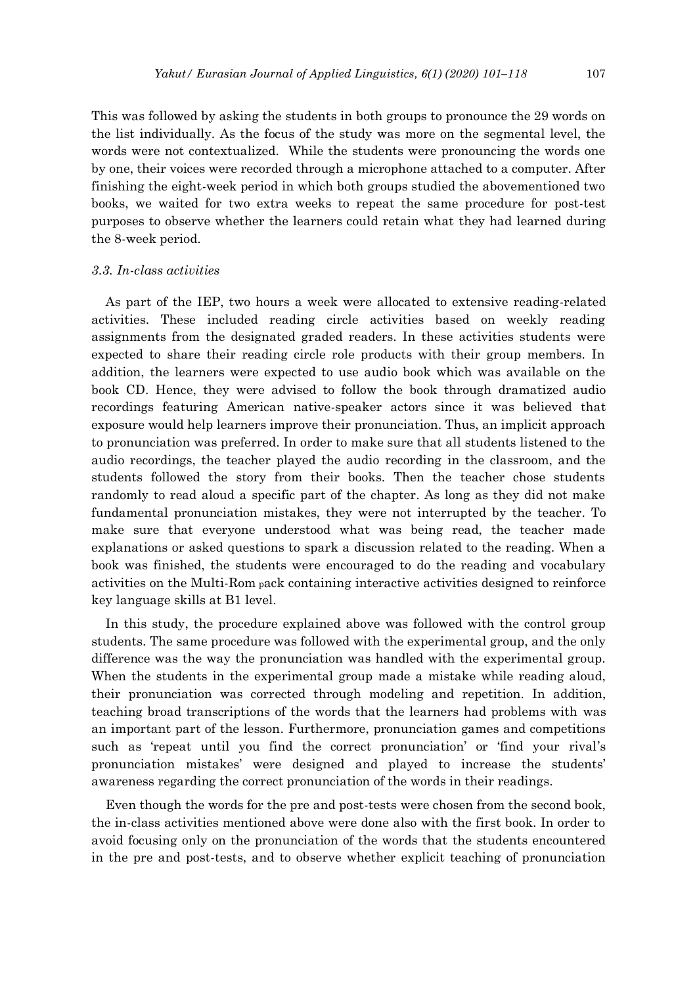This was followed by asking the students in both groups to pronounce the 29 words on the list individually. As the focus of the study was more on the segmental level, the words were not contextualized. While the students were pronouncing the words one by one, their voices were recorded through a microphone attached to a computer. After finishing the eight-week period in which both groups studied the abovementioned two books, we waited for two extra weeks to repeat the same procedure for post-test purposes to observe whether the learners could retain what they had learned during the 8-week period.

#### *3.3. In-class activities*

As part of the IEP, two hours a week were allocated to extensive reading-related activities. These included reading circle activities based on weekly reading assignments from the designated graded readers. In these activities students were expected to share their reading circle role products with their group members. In addition, the learners were expected to use audio book which was available on the book CD. Hence, they were advised to follow the book through dramatized audio recordings featuring American native-speaker actors since it was believed that exposure would help learners improve their pronunciation. Thus, an implicit approach to pronunciation was preferred. In order to make sure that all students listened to the audio recordings, the teacher played the audio recording in the classroom, and the students followed the story from their books. Then the teacher chose students randomly to read aloud a specific part of the chapter. As long as they did not make fundamental pronunciation mistakes, they were not interrupted by the teacher. To make sure that everyone understood what was being read, the teacher made explanations or asked questions to spark a discussion related to the reading. When a book was finished, the students were encouraged to do the reading and vocabulary activities on the Multi-Rom pack containing interactive activities designed to reinforce key language skills at B1 level.

In this study, the procedure explained above was followed with the control group students. The same procedure was followed with the experimental group, and the only difference was the way the pronunciation was handled with the experimental group. When the students in the experimental group made a mistake while reading aloud, their pronunciation was corrected through modeling and repetition. In addition, teaching broad transcriptions of the words that the learners had problems with was an important part of the lesson. Furthermore, pronunciation games and competitions such as 'repeat until you find the correct pronunciation' or 'find your rival's pronunciation mistakes' were designed and played to increase the students' awareness regarding the correct pronunciation of the words in their readings.

Even though the words for the pre and post-tests were chosen from the second book, the in-class activities mentioned above were done also with the first book. In order to avoid focusing only on the pronunciation of the words that the students encountered in the pre and post-tests, and to observe whether explicit teaching of pronunciation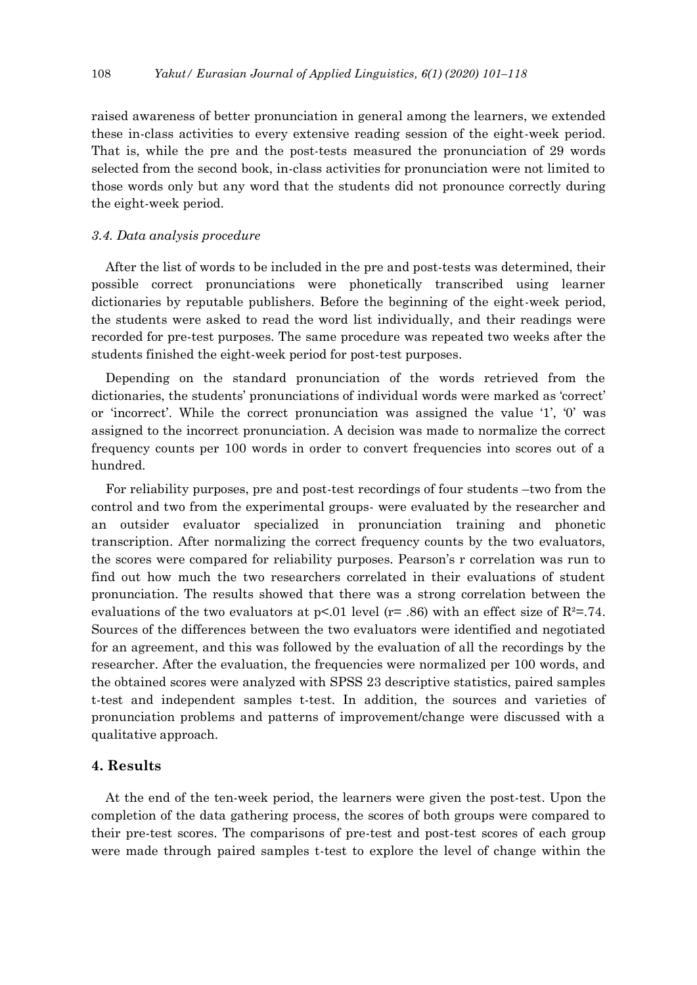raised awareness of better pronunciation in general among the learners, we extended these in-class activities to every extensive reading session of the eight-week period. That is, while the pre and the post-tests measured the pronunciation of 29 words selected from the second book, in-class activities for pronunciation were not limited to those words only but any word that the students did not pronounce correctly during the eight-week period.

#### *3.4. Data analysis procedure*

After the list of words to be included in the pre and post-tests was determined, their possible correct pronunciations were phonetically transcribed using learner dictionaries by reputable publishers. Before the beginning of the eight-week period, the students were asked to read the word list individually, and their readings were recorded for pre-test purposes. The same procedure was repeated two weeks after the students finished the eight-week period for post-test purposes.

Depending on the standard pronunciation of the words retrieved from the dictionaries, the students' pronunciations of individual words were marked as 'correct' or 'incorrect'. While the correct pronunciation was assigned the value '1', '0' was assigned to the incorrect pronunciation. A decision was made to normalize the correct frequency counts per 100 words in order to convert frequencies into scores out of a hundred.

For reliability purposes, pre and post-test recordings of four students –two from the control and two from the experimental groups- were evaluated by the researcher and an outsider evaluator specialized in pronunciation training and phonetic transcription. After normalizing the correct frequency counts by the two evaluators, the scores were compared for reliability purposes. Pearson's r correlation was run to find out how much the two researchers correlated in their evaluations of student pronunciation. The results showed that there was a strong correlation between the evaluations of the two evaluators at  $p<01$  level (r= .86) with an effect size of  $R^2 = .74$ . Sources of the differences between the two evaluators were identified and negotiated for an agreement, and this was followed by the evaluation of all the recordings by the researcher. After the evaluation, the frequencies were normalized per 100 words, and the obtained scores were analyzed with SPSS 23 descriptive statistics, paired samples t-test and independent samples t-test. In addition, the sources and varieties of pronunciation problems and patterns of improvement/change were discussed with a qualitative approach.

## **4. Results**

At the end of the ten-week period, the learners were given the post-test. Upon the completion of the data gathering process, the scores of both groups were compared to their pre-test scores. The comparisons of pre-test and post-test scores of each group were made through paired samples t-test to explore the level of change within the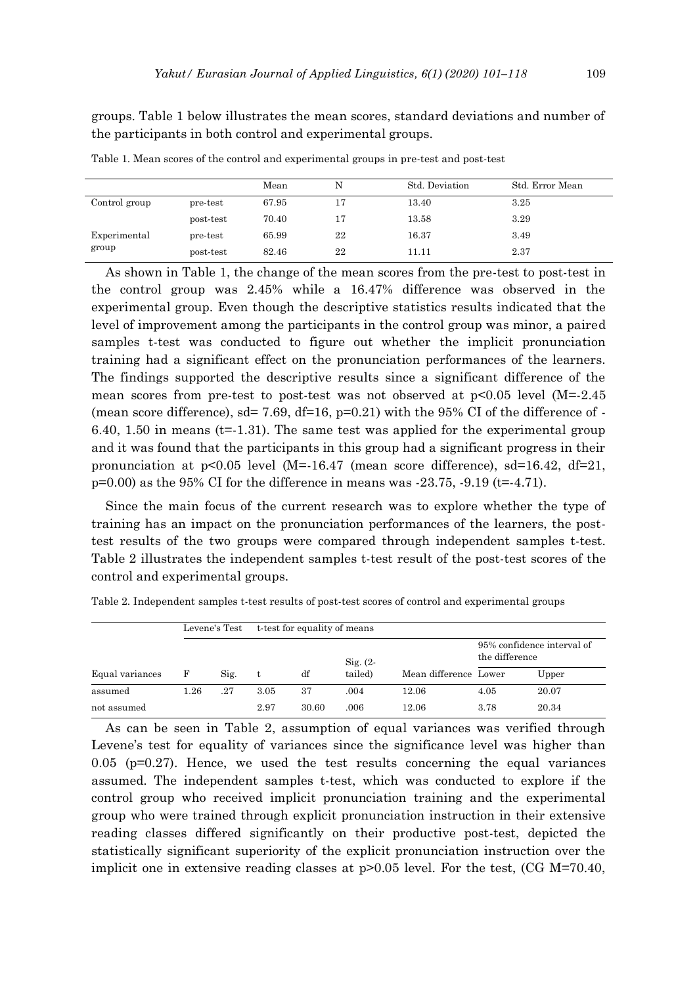groups. Table 1 below illustrates the mean scores, standard deviations and number of the participants in both control and experimental groups.

|                       |           | Mean  |    | Std. Deviation | Std. Error Mean |
|-----------------------|-----------|-------|----|----------------|-----------------|
| Control group         | pre-test  | 67.95 | 17 | 13.40          | 3.25            |
|                       | post-test | 70.40 | 17 | 13.58          | 3.29            |
| Experimental<br>group | pre-test  | 65.99 | 22 | 16.37          | 3.49            |
|                       | post-test | 82.46 | 22 | 11.11          | 2.37            |

Table 1. Mean scores of the control and experimental groups in pre-test and post-test

As shown in Table 1, the change of the mean scores from the pre-test to post-test in the control group was 2.45% while a 16.47% difference was observed in the experimental group. Even though the descriptive statistics results indicated that the level of improvement among the participants in the control group was minor, a paired samples t-test was conducted to figure out whether the implicit pronunciation training had a significant effect on the pronunciation performances of the learners. The findings supported the descriptive results since a significant difference of the mean scores from pre-test to post-test was not observed at p<0.05 level (M=-2.45 (mean score difference),  $sd = 7.69$ ,  $df = 16$ ,  $p = 0.21$ ) with the 95% CI of the difference of -6.40, 1.50 in means  $(t=1.31)$ . The same test was applied for the experimental group and it was found that the participants in this group had a significant progress in their pronunciation at  $p<0.05$  level (M=-16.47 (mean score difference), sd=16.42, df=21,  $p=0.00$ ) as the 95% CI for the difference in means was  $-23.75, -9.19$  (t= $-4.71$ ).

Since the main focus of the current research was to explore whether the type of training has an impact on the pronunciation performances of the learners, the posttest results of the two groups were compared through independent samples t-test. Table 2 illustrates the independent samples t-test result of the post-test scores of the control and experimental groups.

|                 |      | Levene's Test |      | t-test for equality of means |             |                       |                                              |       |
|-----------------|------|---------------|------|------------------------------|-------------|-----------------------|----------------------------------------------|-------|
|                 |      |               |      |                              | $Sig. (2 -$ |                       | 95% confidence interval of<br>the difference |       |
| Equal variances | F    | Sig.          | t    | df                           | tailed)     | Mean difference Lower |                                              | Upper |
| assumed         | 1.26 | .27           | 3.05 | 37                           | .004        | 12.06                 | 4.05                                         | 20.07 |
| not assumed     |      |               | 2.97 | 30.60                        | .006        | 12.06                 | 3.78                                         | 20.34 |

Table 2. Independent samples t-test results of post-test scores of control and experimental groups

As can be seen in Table 2, assumption of equal variances was verified through Levene's test for equality of variances since the significance level was higher than 0.05 (p=0.27). Hence, we used the test results concerning the equal variances assumed. The independent samples t-test, which was conducted to explore if the control group who received implicit pronunciation training and the experimental group who were trained through explicit pronunciation instruction in their extensive reading classes differed significantly on their productive post-test, depicted the statistically significant superiority of the explicit pronunciation instruction over the implicit one in extensive reading classes at  $p>0.05$  level. For the test, (CG M=70.40,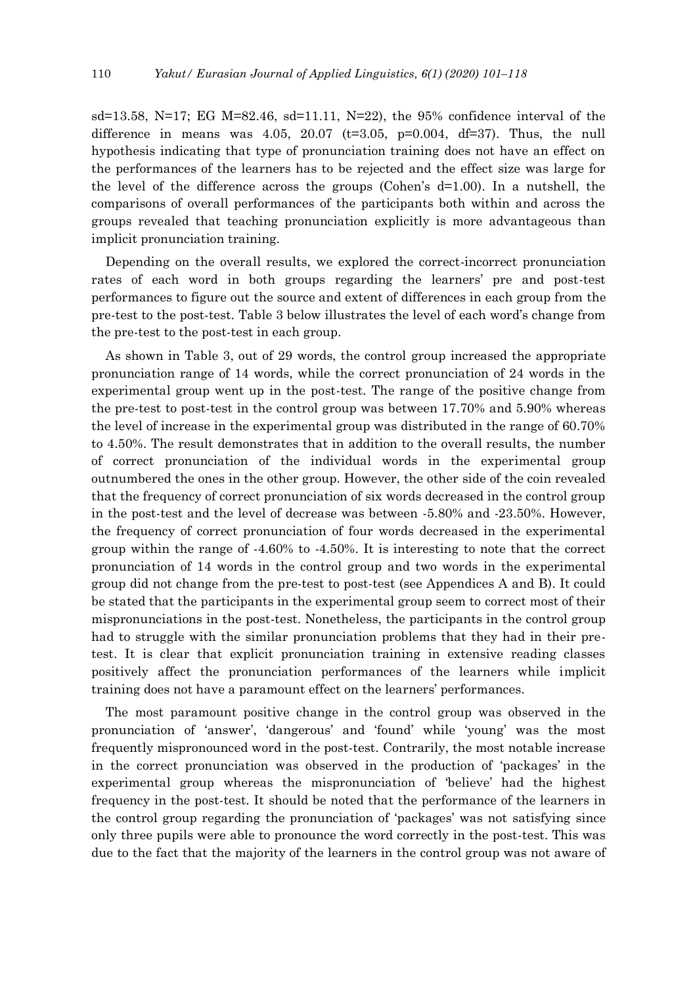sd=13.58, N=17; EG M=82.46, sd=11.11, N=22), the 95% confidence interval of the difference in means was 4.05, 20.07 ( $t=3.05$ ,  $p=0.004$ ,  $df=37$ ). Thus, the null hypothesis indicating that type of pronunciation training does not have an effect on the performances of the learners has to be rejected and the effect size was large for the level of the difference across the groups (Cohen's  $d=1.00$ ). In a nutshell, the comparisons of overall performances of the participants both within and across the groups revealed that teaching pronunciation explicitly is more advantageous than implicit pronunciation training.

Depending on the overall results, we explored the correct-incorrect pronunciation rates of each word in both groups regarding the learners' pre and post-test performances to figure out the source and extent of differences in each group from the pre-test to the post-test. Table 3 below illustrates the level of each word's change from the pre-test to the post-test in each group.

As shown in Table 3, out of 29 words, the control group increased the appropriate pronunciation range of 14 words, while the correct pronunciation of 24 words in the experimental group went up in the post-test. The range of the positive change from the pre-test to post-test in the control group was between 17.70% and 5.90% whereas the level of increase in the experimental group was distributed in the range of 60.70% to 4.50%. The result demonstrates that in addition to the overall results, the number of correct pronunciation of the individual words in the experimental group outnumbered the ones in the other group. However, the other side of the coin revealed that the frequency of correct pronunciation of six words decreased in the control group in the post-test and the level of decrease was between -5.80% and -23.50%. However, the frequency of correct pronunciation of four words decreased in the experimental group within the range of -4.60% to -4.50%. It is interesting to note that the correct pronunciation of 14 words in the control group and two words in the experimental group did not change from the pre-test to post-test (see Appendices A and B). It could be stated that the participants in the experimental group seem to correct most of their mispronunciations in the post-test. Nonetheless, the participants in the control group had to struggle with the similar pronunciation problems that they had in their pretest. It is clear that explicit pronunciation training in extensive reading classes positively affect the pronunciation performances of the learners while implicit training does not have a paramount effect on the learners' performances.

The most paramount positive change in the control group was observed in the pronunciation of 'answer', 'dangerous' and 'found' while 'young' was the most frequently mispronounced word in the post-test. Contrarily, the most notable increase in the correct pronunciation was observed in the production of 'packages' in the experimental group whereas the mispronunciation of 'believe' had the highest frequency in the post-test. It should be noted that the performance of the learners in the control group regarding the pronunciation of 'packages' was not satisfying since only three pupils were able to pronounce the word correctly in the post-test. This was due to the fact that the majority of the learners in the control group was not aware of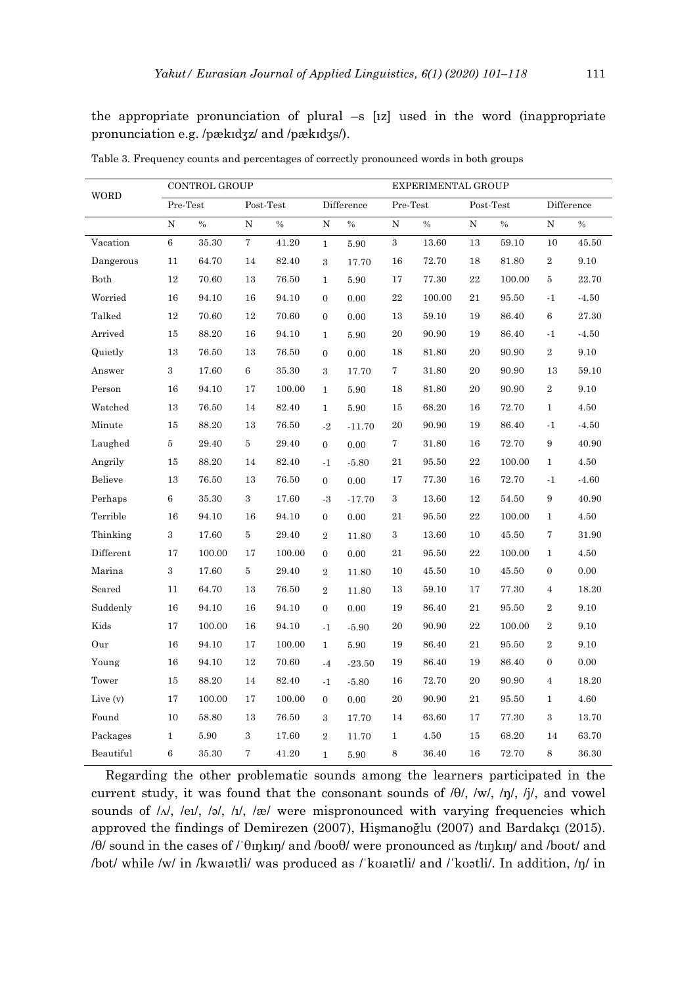the appropriate pronunciation of plural –s [ız] used in the word (inappropriate pronunciation e.g. /pækɪdʒz/ and /pækɪdʒs/).

| WORD      | CONTROL GROUP  |           |                  |           |                  |            |                  | EXPERIMENTAL GROUP |             |        |                  |           |
|-----------|----------------|-----------|------------------|-----------|------------------|------------|------------------|--------------------|-------------|--------|------------------|-----------|
|           | Pre-Test       |           | $Post-Test$      |           |                  | Difference | Pre-Test         |                    | Post-Test   |        | Difference       |           |
|           | ${\bf N}$      | $\%$      | $\overline{N}$   | $\%$      | $\overline{N}$   | $\%$       | $\overline{N}$   | $\%$               | $\rm N$     | $\%$   | ${\rm N}$        | $\%$      |
| Vacation  | $\,6\,$        | $35.30\,$ | $\bf 7$          | 41.20     | $\mathbf{1}$     | 5.90       | $\,3$            | $13.60\,$          | 13          | 59.10  | 10               | 45.50     |
| Dangerous | 11             | 64.70     | 14               | 82.40     | 3                | 17.70      | 16               | 72.70              | 18          | 81.80  | $\boldsymbol{2}$ | 9.10      |
| Both      | 12             | 70.60     | 13               | 76.50     | $\mathbf{1}$     | 5.90       | 17               | 77.30              | $\bf{22}$   | 100.00 | 5                | 22.70     |
| Worried   | 16             | 94.10     | 16               | 94.10     | $\overline{0}$   | 0.00       | $\bf 22$         | 100.00             | 21          | 95.50  | $-1$             | $-4.50$   |
| Talked    | 12             | 70.60     | 12               | 70.60     | $\boldsymbol{0}$ | 0.00       | 13               | 59.10              | 19          | 86.40  | 6                | 27.30     |
| Arrived   | 15             | 88.20     | 16               | 94.10     | $\mathbf{1}$     | 5.90       | 20               | 90.90              | 19          | 86.40  | $-1$             | $-4.50$   |
| Quietly   | 13             | 76.50     | 13               | 76.50     | $\boldsymbol{0}$ | 0.00       | 18               | 81.80              | 20          | 90.90  | $\,2$            | $9.10\,$  |
| Answer    | 3              | 17.60     | 6                | 35.30     | 3                | 17.70      | 7                | 31.80              | 20          | 90.90  | 13               | 59.10     |
| Person    | 16             | 94.10     | 17               | 100.00    | $\mathbf{1}$     | 5.90       | 18               | 81.80              | 20          | 90.90  | $\,2\,$          | 9.10      |
| Watched   | 13             | 76.50     | 14               | 82.40     | $\mathbf{1}$     | 5.90       | 15               | 68.20              | 16          | 72.70  | $\mathbf{1}$     | $4.50\,$  |
| Minute    | 15             | 88.20     | 13               | 76.50     | $-2$             | $-11.70$   | 20               | 90.90              | 19          | 86.40  | $-1$             | $-4.50$   |
| Laughed   | $\overline{5}$ | 29.40     | 5                | $29.40\,$ | $\overline{0}$   | 0.00       | $\overline{7}$   | 31.80              | 16          | 72.70  | 9                | 40.90     |
| Angrily   | 15             | 88.20     | 14               | 82.40     | $-1$             | $-5.80$    | 21               | 95.50              | $\bf{22}$   | 100.00 | $\mathbf{1}$     | 4.50      |
| Believe   | 13             | 76.50     | 13               | 76.50     | $\boldsymbol{0}$ | 0.00       | 17               | 77.30              | 16          | 72.70  | $\cdot$ 1        | $-4.60$   |
| Perhaps   | 6              | 35.30     | $\boldsymbol{3}$ | 17.60     | $-3$             | $-17.70$   | $\,3$            | 13.60              | 12          | 54.50  | 9                | 40.90     |
| Terrible  | 16             | 94.10     | 16               | 94.10     | $\overline{0}$   | 0.00       | 21               | 95.50              | $\bf 22$    | 100.00 | $\mathbf{1}$     | $4.50\,$  |
| Thinking  | 3              | 17.60     | 5                | 29.40     | $\overline{2}$   | 11.80      | $\boldsymbol{3}$ | 13.60              | 10          | 45.50  | 7                | 31.90     |
| Different | 17             | 100.00    | 17               | 100.00    | $\boldsymbol{0}$ | 0.00       | 21               | 95.50              | $\sqrt{22}$ | 100.00 | $\mathbf{1}$     | 4.50      |
| Marina    | 3              | 17.60     | $\rm 5$          | 29.40     | $\,2$            | 11.80      | 10               | 45.50              | 10          | 45.50  | $\boldsymbol{0}$ | $0.00\,$  |
| Scared    | 11             | 64.70     | 13               | 76.50     | $\overline{2}$   | 11.80      | 13               | 59.10              | 17          | 77.30  | $\overline{4}$   | 18.20     |
| Suddenly  | 16             | 94.10     | 16               | 94.10     | $\overline{0}$   | 0.00       | 19               | 86.40              | 21          | 95.50  | $\boldsymbol{2}$ | 9.10      |
| Kids      | 17             | 100.00    | 16               | 94.10     | $-1$             | $-5.90$    | 20               | 90.90              | $\bf{22}$   | 100.00 | $\,2\,$          | $9.10\,$  |
| Our       | 16             | 94.10     | 17               | 100.00    | $\mathbf{1}$     | 5.90       | 19               | 86.40              | 21          | 95.50  | $\boldsymbol{2}$ | 9.10      |
| Young     | 16             | 94.10     | 12               | $70.60\,$ | $-4$             | $-23.50$   | 19               | 86.40              | 19          | 86.40  | $\boldsymbol{0}$ | 0.00      |
| Tower     | 15             | 88.20     | 14               | 82.40     | $-1$             | $-5.80$    | 16               | 72.70              | 20          | 90.90  | $\overline{4}$   | 18.20     |
| Live (v)  | 17             | 100.00    | 17               | 100.00    | $\boldsymbol{0}$ | 0.00       | 20               | 90.90              | 21          | 95.50  | $\mathbf{1}$     | 4.60      |
| Found     | 10             | 58.80     | 13               | 76.50     | $\boldsymbol{3}$ | 17.70      | 14               | 63.60              | 17          | 77.30  | 3                | 13.70     |
| Packages  | $\mathbf{1}$   | 5.90      | $\boldsymbol{3}$ | 17.60     | $\,2$            | 11.70      | $\mathbf{1}$     | 4.50               | 15          | 68.20  | 14               | $63.70\,$ |
| Beautiful | $\,6$          | 35.30     | 7                | 41.20     | $\mathbf{1}$     | $5.90\,$   | $\,8\,$          | 36.40              | 16          | 72.70  | 8                | 36.30     |

Table 3. Frequency counts and percentages of correctly pronounced words in both groups

Regarding the other problematic sounds among the learners participated in the current study, it was found that the consonant sounds of /θ/, /w/, /ŋ/, /j/, and vowel sounds of  $/\sqrt{N}$ ,  $/\text{el}$ ,  $/\text{el}$ ,  $/\sqrt{N}$ ,  $/\text{rel}$  were mispronounced with varying frequencies which approved the findings of Demirezen (2007), Hişmanoğlu (2007) and Bardakçı (2015). /θ/ sound in the cases of /ˈθɪŋkɪŋ/ and /boʊθ/ were pronounced as /tɪŋkɪŋ/ and /boʊt/ and /bot/ while /w/ in /kwaɪətli/ was produced as /ˈkʊaɪətli/ and /ˈkʊətli/. In addition, /ŋ/ in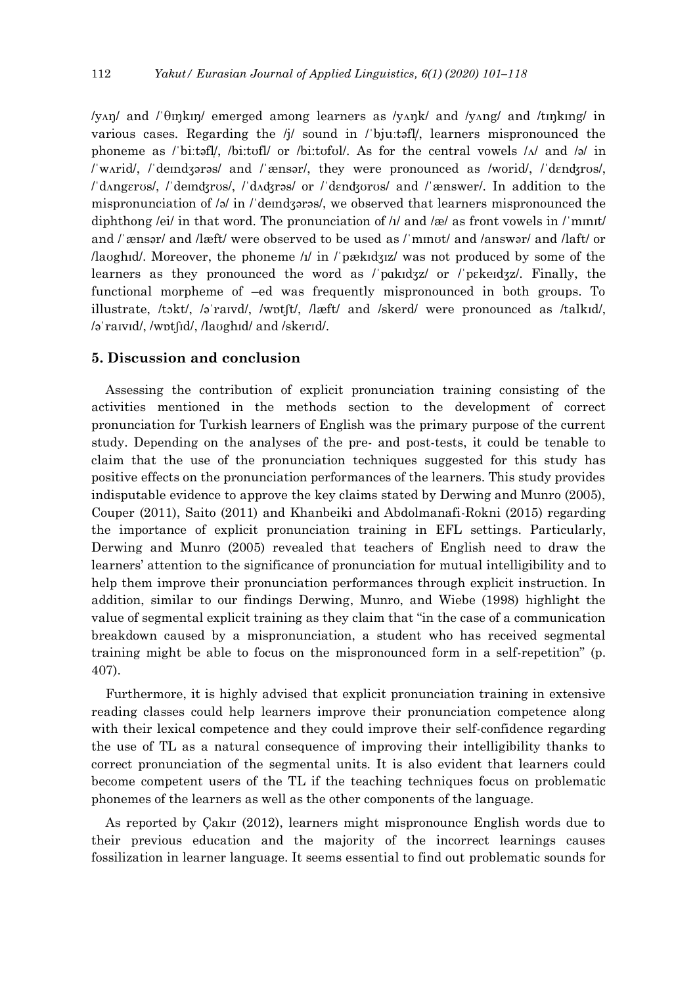/yʌŋ/ and /ˈθɪŋkɪŋ/ emerged among learners as /yʌŋk/ and /yʌng/ and /tɪŋkɪng/ in various cases. Regarding the /j/ sound in /'bju:təfl/, learners mispronounced the phoneme as / bi:təfl/, /bi:tofl/ or /bi:tofol/. As for the central vowels  $\Lambda$  and  $\lambda$  in /ˈwʌrid/, /ˈdeɪndʒərəs/ and /ˈænsər/, they were pronounced as /worid/, /ˈdɛnʤrʊs/, /ˈdʌngɛrʊs/, /ˈdeɪnʤrʊs/, /ˈdʌʤrəs/ or /ˈdɛnʤʊrʊs/ and /ˈænswer/. In addition to the mispronunciation of  $\sqrt{3}$  in *l* deindzoras/, we observed that learners mispronounced the diphthong /ei/ in that word. The pronunciation of  $/1/d$  and  $/$ e/ as front vowels in  $/1/d$  munt/ and /ˈænsər/ and /læft/ were observed to be used as /ˈmɪnʊt/ and /answər/ and /laft/ or /lavghid/. Moreover, the phoneme  $\frac{1}{n}$  in *l'pækidziz/* was not produced by some of the learners as they pronounced the word as /ˈpɑkɪdʒz/ or /ˈpɛkeɪdʒz/. Finally, the functional morpheme of –ed was frequently mispronounced in both groups. To illustrate, /tɔkt/, /əˈraɪvd/, /wɒtʃt/, /læft/ and /skerd/ were pronounced as /talkɪd/, /əˈraɪvɪd/, /wɒtʃɪd/, /laʊghɪd/ and /skerɪd/.

## **5. Discussion and conclusion**

Assessing the contribution of explicit pronunciation training consisting of the activities mentioned in the methods section to the development of correct pronunciation for Turkish learners of English was the primary purpose of the current study. Depending on the analyses of the pre- and post-tests, it could be tenable to claim that the use of the pronunciation techniques suggested for this study has positive effects on the pronunciation performances of the learners. This study provides indisputable evidence to approve the key claims stated by Derwing and Munro (2005), Couper (2011), Saito (2011) and Khanbeiki and Abdolmanafi-Rokni (2015) regarding the importance of explicit pronunciation training in EFL settings. Particularly, Derwing and Munro (2005) revealed that teachers of English need to draw the learners' attention to the significance of pronunciation for mutual intelligibility and to help them improve their pronunciation performances through explicit instruction. In addition, similar to our findings Derwing, Munro, and Wiebe (1998) highlight the value of segmental explicit training as they claim that "in the case of a communication breakdown caused by a mispronunciation, a student who has received segmental training might be able to focus on the mispronounced form in a self-repetition" (p. 407).

Furthermore, it is highly advised that explicit pronunciation training in extensive reading classes could help learners improve their pronunciation competence along with their lexical competence and they could improve their self-confidence regarding the use of TL as a natural consequence of improving their intelligibility thanks to correct pronunciation of the segmental units. It is also evident that learners could become competent users of the TL if the teaching techniques focus on problematic phonemes of the learners as well as the other components of the language.

As reported by Çakır (2012), learners might mispronounce English words due to their previous education and the majority of the incorrect learnings causes fossilization in learner language. It seems essential to find out problematic sounds for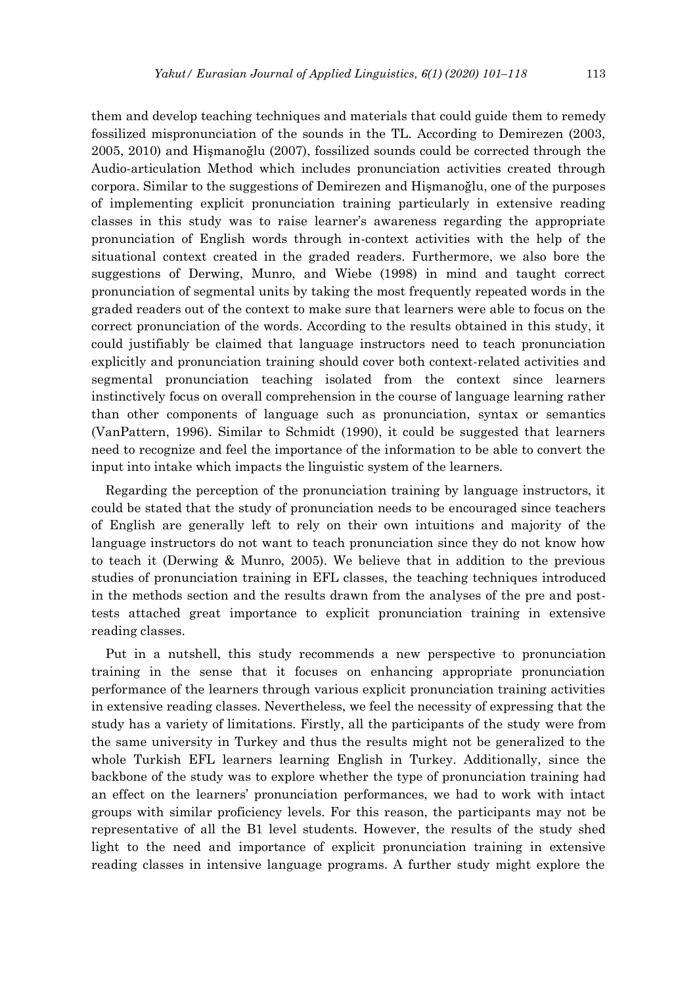them and develop teaching techniques and materials that could guide them to remedy fossilized mispronunciation of the sounds in the TL. According to Demirezen (2003, 2005, 2010) and Hişmanoğlu (2007), fossilized sounds could be corrected through the Audio-articulation Method which includes pronunciation activities created through corpora. Similar to the suggestions of Demirezen and Hişmanoğlu, one of the purposes of implementing explicit pronunciation training particularly in extensive reading classes in this study was to raise learner's awareness regarding the appropriate pronunciation of English words through in-context activities with the help of the situational context created in the graded readers. Furthermore, we also bore the suggestions of Derwing, Munro, and Wiebe (1998) in mind and taught correct pronunciation of segmental units by taking the most frequently repeated words in the graded readers out of the context to make sure that learners were able to focus on the correct pronunciation of the words. According to the results obtained in this study, it could justifiably be claimed that language instructors need to teach pronunciation explicitly and pronunciation training should cover both context-related activities and segmental pronunciation teaching isolated from the context since learners instinctively focus on overall comprehension in the course of language learning rather than other components of language such as pronunciation, syntax or semantics (VanPattern, 1996). Similar to Schmidt (1990), it could be suggested that learners need to recognize and feel the importance of the information to be able to convert the input into intake which impacts the linguistic system of the learners.

Regarding the perception of the pronunciation training by language instructors, it could be stated that the study of pronunciation needs to be encouraged since teachers of English are generally left to rely on their own intuitions and majority of the language instructors do not want to teach pronunciation since they do not know how to teach it (Derwing & Munro, 2005). We believe that in addition to the previous studies of pronunciation training in EFL classes, the teaching techniques introduced in the methods section and the results drawn from the analyses of the pre and posttests attached great importance to explicit pronunciation training in extensive reading classes.

Put in a nutshell, this study recommends a new perspective to pronunciation training in the sense that it focuses on enhancing appropriate pronunciation performance of the learners through various explicit pronunciation training activities in extensive reading classes. Nevertheless, we feel the necessity of expressing that the study has a variety of limitations. Firstly, all the participants of the study were from the same university in Turkey and thus the results might not be generalized to the whole Turkish EFL learners learning English in Turkey. Additionally, since the backbone of the study was to explore whether the type of pronunciation training had an effect on the learners' pronunciation performances, we had to work with intact groups with similar proficiency levels. For this reason, the participants may not be representative of all the B1 level students. However, the results of the study shed light to the need and importance of explicit pronunciation training in extensive reading classes in intensive language programs. A further study might explore the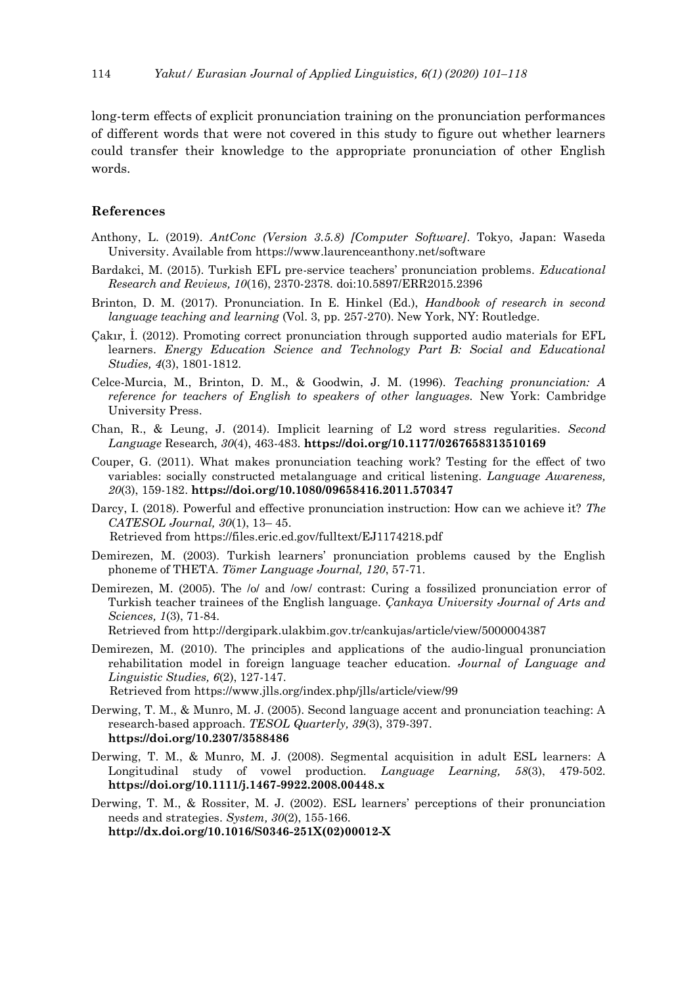long-term effects of explicit pronunciation training on the pronunciation performances of different words that were not covered in this study to figure out whether learners could transfer their knowledge to the appropriate pronunciation of other English words.

## **References**

- Anthony, L. (2019). *AntConc (Version 3.5.8) [Computer Software]*. Tokyo, Japan: Waseda University. Available from https://www.laurenceanthony.net/software
- Bardakci, M. (2015). Turkish EFL pre-service teachers' pronunciation problems. *Educational Research and Reviews, 10*(16), 2370-2378. doi:10.5897/ERR2015.2396
- Brinton, D. M. (2017). Pronunciation. In E. Hinkel (Ed.), *Handbook of research in second language teaching and learning* (Vol. 3, pp. 257-270). New York, NY: Routledge.
- Çakır, İ. (2012). Promoting correct pronunciation through supported audio materials for EFL learners. *Energy Education Science and Technology Part B: Social and Educational Studies, 4*(3), 1801-1812.
- Celce-Murcia, M., Brinton, D. M., & Goodwin, J. M. (1996). *Teaching pronunciation: A reference for teachers of English to speakers of other languages.* New York: Cambridge University Press.
- Chan, R., & Leung, J. (2014). Implicit learning of L2 word stress regularities. *Second Language* Research*, 30*(4), 463-483. **https://doi.org/10.1177/0267658313510169**
- Couper, G. (2011). What makes pronunciation teaching work? Testing for the effect of two variables: socially constructed metalanguage and critical listening. *Language Awareness, 20*(3), 159-182. **https://doi.org/10.1080/09658416.2011.570347**
- Darcy, I. (2018). Powerful and effective pronunciation instruction: How can we achieve it? *The CATESOL Journal, 30*(1), 13– 45.
	- Retrieved from https://files.eric.ed.gov/fulltext/EJ1174218.pdf
- Demirezen, M. (2003). Turkish learners' pronunciation problems caused by the English phoneme of THETA. *Tömer Language Journal, 120*, 57-71.
- Demirezen, M. (2005). The /o/ and /ow/ contrast: Curing a fossilized pronunciation error of Turkish teacher trainees of the English language. *Çankaya University Journal of Arts and Sciences, 1*(3), 71-84. Retrieved from http://dergipark.ulakbim.gov.tr/cankujas/article/view/5000004387
- Demirezen, M. (2010). The principles and applications of the audio-lingual pronunciation rehabilitation model in foreign language teacher education. *Journal of Language and Linguistic Studies, 6*(2), 127-147. Retrieved from https://www.jlls.org/index.php/jlls/article/view/99
- Derwing, T. M., & Munro, M. J. (2005). Second language accent and pronunciation teaching: A research-based approach. *TESOL Quarterly, 39*(3), 379-397.
- **[https://doi.](https://doi/)org/10.2307/3588486**
- Derwing, T. M., & Munro, M. J. (2008). Segmental acquisition in adult ESL learners: A Longitudinal study of vowel production. *Language Learning, 58*(3), 479-502. **https://doi.org/10.1111/j.1467-9922.2008.00448.x**
- Derwing, T. M., & Rossiter, M. J. (2002). ESL learners' perceptions of their pronunciation needs and strategies. *System, 30*(2), 155-166. **http://dx.doi.org/10.1016/S0346-251X(02)00012-X**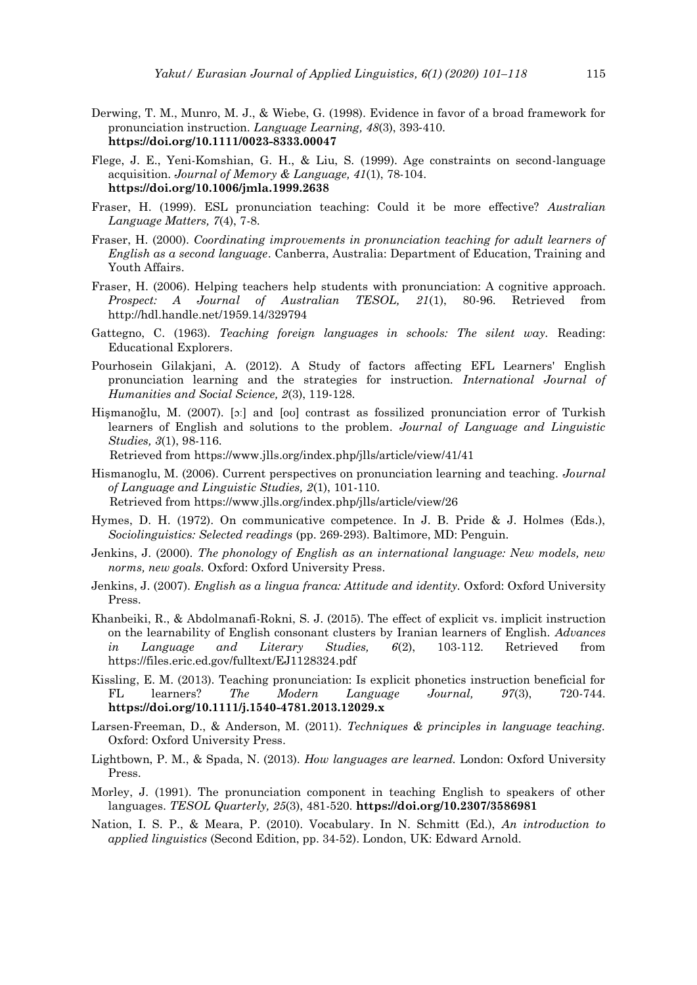- Derwing, T. M., Munro, M. J., & Wiebe, G. (1998). Evidence in favor of a broad framework for pronunciation instruction. *Language Learning, 48*(3), 393‐410. **[https://doi.org/1](https://doi.org/)0.1111/0023-8333.00047**
- Flege, J. E., Yeni-Komshian, G. H., & Liu, S. (1999). Age constraints on second-language acquisition. *Journal of Memory & Language, 41*(1), 78-104. **[https://doi.org/1](https://doi.org/)0.1006/jmla.1999.2638**
- Fraser, H. (1999). ESL pronunciation teaching: Could it be more effective? *Australian Language Matters, 7*(4), 7-8.
- Fraser, H. (2000). *Coordinating improvements in pronunciation teaching for adult learners of English as a second language*. Canberra, Australia: Department of Education, Training and Youth Affairs.
- Fraser, H. (2006). Helping teachers help students with pronunciation: A cognitive approach. *Prospect: A Journal of Australian TESOL, 21*(1), 80-96. Retrieved from http://hdl.handle.net/1959.14/329794
- Gattegno, C. (1963). *Teaching foreign languages in schools: The silent way.* Reading: Educational Explorers.
- Pourhosein Gilakjani, A. (2012). A Study of factors affecting EFL Learners' English pronunciation learning and the strategies for instruction. *International Journal of Humanities and Social Science, 2*(3), 119-128.
- Hişmanoğlu, M. (2007). [ɔː] and [oʊ] contrast as fossilized pronunciation error of Turkish learners of English and solutions to the problem. *Journal of Language and Linguistic Studies, 3*(1), 98-116.

Retrieved from https://www.jlls.org/index.php/jlls/article/view/41/41

- Hismanoglu, M. (2006). Current perspectives on pronunciation learning and teaching. *Journal of Language and Linguistic Studies, 2*(1), 101-110. Retrieved from https://www.jlls.org/index.php/jlls/article/view/26
- Hymes, D. H. (1972). On communicative competence. In J. B. Pride & J. Holmes (Eds.), *Sociolinguistics: Selected readings* (pp. 269-293). Baltimore, MD: Penguin.
- Jenkins, J. (2000). *The phonology of English as an international language: New models, new norms, new goals.* Oxford: Oxford University Press.
- Jenkins, J. (2007). *English as a lingua franca: Attitude and identity.* Oxford: Oxford University Press.
- Khanbeiki, R., & Abdolmanafi-Rokni, S. J. (2015). The effect of explicit vs. implicit instruction on the learnability of English consonant clusters by Iranian learners of English. *Advances in Language and Literary Studies, 6*(2), 103-112. Retrieved from https://files.eric.ed.gov/fulltext/EJ1128324.pdf
- Kissling, E. M. (2013). Teaching pronunciation: Is explicit phonetics instruction beneficial for FL learners? *The Modern Language Journal, 97*(3), 720-744. **[https://doi.org/1](https://doi.org/)0.1111/j.1540-4781.2013.12029.x**
- Larsen-Freeman, D., & Anderson, M. (2011). *Techniques & principles in language teaching.* Oxford: Oxford University Press.
- Lightbown, P. M., & Spada, N. (2013). *How languages are learned.* London: Oxford University Press.
- Morley, J. (1991). The pronunciation component in teaching English to speakers of other languages. *TESOL Quarterly, 25*(3), 481-520. **https://doi.org/10.2307/3586981**
- Nation, I. S. P., & Meara, P. (2010). Vocabulary. In N. Schmitt (Ed.), *An introduction to applied linguistics* (Second Edition, pp. 34-52). London, UK: Edward Arnold.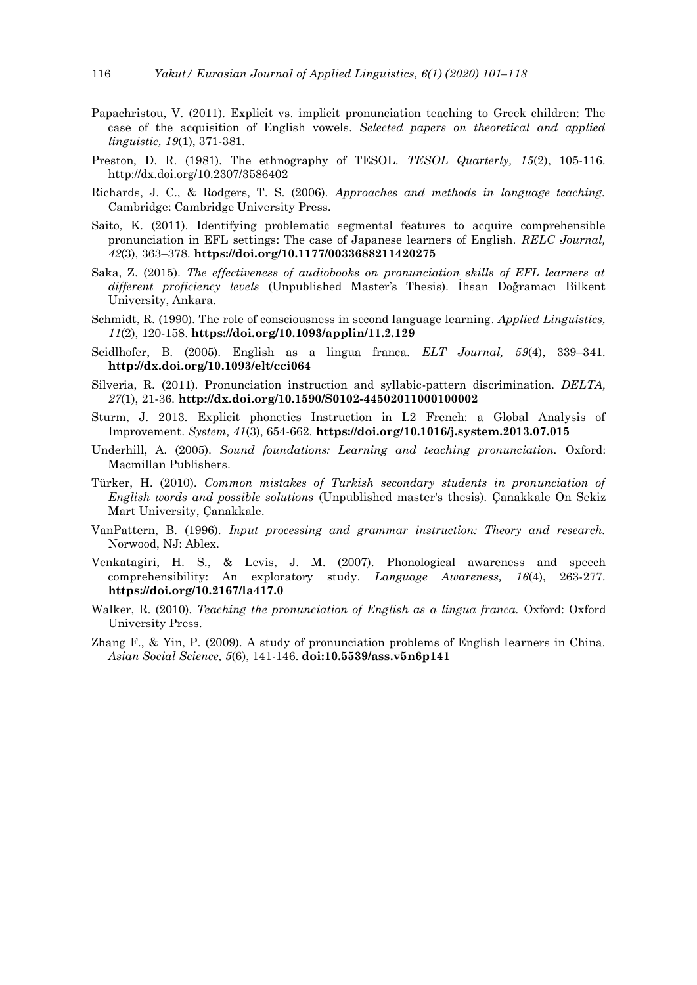- Papachristou, V. (2011). Explicit vs. implicit pronunciation teaching to Greek children: The case of the acquisition of English vowels. *Selected papers on theoretical and applied linguistic, 19*(1), 371-381.
- Preston, D. R. (1981). The ethnography of TESOL. *TESOL Quarterly, 15*(2), 105-116. http://dx.doi.org/10.2307/3586402
- Richards, J. C., & Rodgers, T. S. (2006). *Approaches and methods in language teaching.* Cambridge: Cambridge University Press.
- Saito, K. (2011). Identifying problematic segmental features to acquire comprehensible pronunciation in EFL settings: The case of Japanese learners of English. *RELC Journal, 42*(3), 363–378. **https://doi.org/10.1177/0033688211420275**
- Saka, Z. (2015). *The effectiveness of audiobooks on pronunciation skills of EFL learners at different proficiency levels* (Unpublished Master's Thesis). İhsan Doğramacı Bilkent University, Ankara.
- Schmidt, R. (1990). The role of consciousness in second language learning. *Applied Linguistics, 11*(2), 120-158. **https://doi.org/10.1093/applin/11.2.129**
- Seidlhofer, B. (2005). English as a lingua franca. *ELT Journal, 59*(4), 339–341. **http://dx.doi.org/10.1093/elt/cci064**
- Silveria, R. (2011). Pronunciation instruction and syllabic-pattern discrimination. *DELTA, 27*(1), 21-36. **http://dx.doi.org/10.1590/S0102-44502011000100002**
- Sturm, J. 2013. Explicit phonetics Instruction in L2 French: a Global Analysis of Improvement. *System, 41*(3), 654-662. **https://doi.org/10.1016/j.system.2013.07.015**
- Underhill, A. (2005). *Sound foundations: Learning and teaching pronunciation.* Oxford: Macmillan Publishers.
- Türker, H. (2010). *Common mistakes of Turkish secondary students in pronunciation of English words and possible solutions* (Unpublished master's thesis). Çanakkale On Sekiz Mart University, Çanakkale.
- VanPattern, B. (1996). *Input processing and grammar instruction: Theory and research.* Norwood, NJ: Ablex.
- Venkatagiri, H. S., & Levis, J. M. (2007). Phonological awareness and speech comprehensibility: An exploratory study. *Language Awareness, 16*(4), 263-277. **https://doi.org/10.2167/la417.0**
- Walker, R. (2010). *Teaching the pronunciation of English as a lingua franca*. Oxford: Oxford University Press.
- Zhang F., & Yin, P. (2009). A study of pronunciation problems of English learners in China. *Asian Social Science, 5*(6), 141-146. **doi:10.5539/ass.v5n6p141**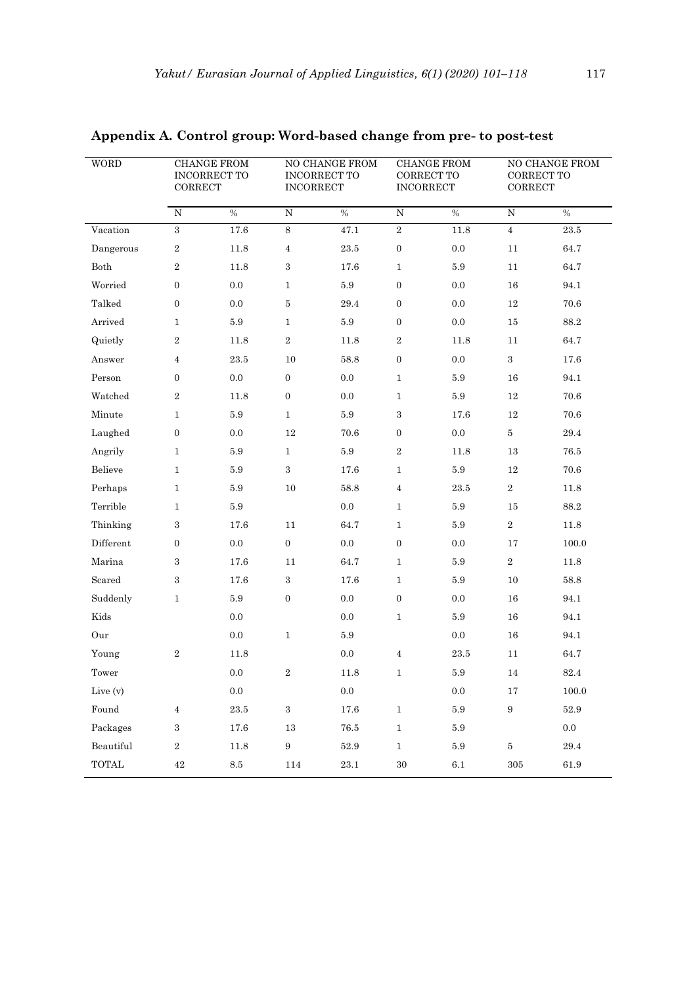| <b>WORD</b><br>CORRECT |                  | <b>CHANGE FROM</b><br>INCORRECT TO | <b>INCORRECT</b> | NO CHANGE FROM<br>INCORRECT TO | <b>CORRECT TO</b><br><b>INCORRECT</b> | <b>CHANGE FROM</b> | NO CHANGE FROM<br>CORRECT TO<br>CORRECT |                    |  |
|------------------------|------------------|------------------------------------|------------------|--------------------------------|---------------------------------------|--------------------|-----------------------------------------|--------------------|--|
|                        | ${\rm N}$        | $\frac{0}{6}$                      | $\overline{N}$   | $\frac{0}{6}$                  | ${\bf N}$                             | $\frac{0}{6}$      | ${\bf N}$                               | $\%$               |  |
| Vacation               | $\overline{3}$   | 17.6                               | $\,8\,$          | 47.1                           | $\,2$                                 | $11.8\,$           | $\overline{4}$                          | $23.5\,$           |  |
| Dangerous              | $\boldsymbol{2}$ | 11.8                               | $\sqrt{4}$       | $23.5\,$                       | $\boldsymbol{0}$                      | $0.0\,$            | 11                                      | 64.7               |  |
| ${\it Both}$           | $\boldsymbol{2}$ | 11.8                               | $\,3\,$          | 17.6                           | $\mathbf{1}$                          | 5.9                | 11                                      | 64.7               |  |
| Worried                | $\mathbf{0}$     | $0.0\,$                            | $\mathbf{1}$     | $5.9\,$                        | $\boldsymbol{0}$                      | $0.0\,$            | 16                                      | 94.1               |  |
| Talked                 | $\boldsymbol{0}$ | $0.0\,$                            | $\bf 5$          | 29.4                           | $\boldsymbol{0}$                      | 0.0                | 12                                      | 70.6               |  |
| Arrived                | $\mathbf{1}$     | $5.9\,$                            | $\mathbf{1}$     | $5.9\,$                        | $\boldsymbol{0}$                      | $0.0\,$            | 15                                      | 88.2               |  |
| Quietly                | $\,2\,$          | 11.8                               | $\,2$            | 11.8                           | $\,2$                                 | 11.8               | 11                                      | 64.7               |  |
| Answer                 | 4                | $23.5\,$                           | 10               | 58.8                           | $\boldsymbol{0}$                      | 0.0                | $\,3$                                   | 17.6               |  |
| Person                 | $\boldsymbol{0}$ | $0.0\,$                            | $\boldsymbol{0}$ | $0.0\,$                        | $\mathbf{1}$                          | $5.9\,$            | 16                                      | 94.1               |  |
| Watched                | $\overline{2}$   | 11.8                               | $\boldsymbol{0}$ | $0.0\,$                        | $\mathbf{1}$                          | $5.9\,$            | 12                                      | 70.6               |  |
| Minute                 | $\mathbf{1}$     | $5.9\,$                            | $\mathbf{1}$     | $5.9\,$                        | $\,3$                                 | 17.6               | $12\,$                                  | 70.6               |  |
| Laughed                | $\boldsymbol{0}$ | $0.0\,$                            | 12               | $70.6\,$                       | $\mathbf{0}$                          | $0.0\,$            | $\bf 5$                                 | 29.4               |  |
| Angrily                | $\mathbf{1}$     | $5.9\,$                            | $\mathbf{1}$     | $5.9\,$                        | $\,2$                                 | 11.8               | 13                                      | 76.5               |  |
| Believe                | $\mathbf{1}$     | 5.9                                | $\,3\,$          | 17.6                           | $\mathbf{1}$                          | $5.9\,$            | $12\,$                                  | 70.6               |  |
| Perhaps                | $\mathbf{1}$     | $5.9\,$                            | $10\,$           | $58.8\,$                       | $\,4\,$                               | 23.5               | $\,2$                                   | 11.8               |  |
| Terrible               | $\mathbf{1}$     | $5.9\,$                            |                  | $0.0\,$                        | $\mathbf{1}$                          | $5.9\,$            | 15                                      | 88.2               |  |
| Thinking               | 3                | 17.6                               | 11               | 64.7                           | $\mathbf{1}$                          | $5.9\,$            | $\,2$                                   | 11.8               |  |
| Different              | $\boldsymbol{0}$ | $0.0\,$                            | $\boldsymbol{0}$ | $0.0\,$                        | $\boldsymbol{0}$                      | 0.0                | 17                                      | 100.0              |  |
| Marina                 | 3                | 17.6                               | 11               | $64.7\,$                       | $\mathbf{1}$                          | 5.9                | $\,2$                                   | 11.8               |  |
| Scared                 | 3                | 17.6                               | $\,3$            | 17.6                           | $\mathbf{1}$                          | 5.9                | 10                                      | 58.8               |  |
| Suddenly               | $\mathbf{1}$     | $5.9\,$                            | $\boldsymbol{0}$ | 0.0                            | $\boldsymbol{0}$                      | 0.0                | 16                                      | 94.1               |  |
| Kids                   |                  | $0.0\,$                            |                  | $0.0\,$                        | $\,1$                                 | 5.9                | $16\,$                                  | 94.1               |  |
| Our                    |                  | $0.0\,$                            | $\mathbf{1}$     | $5.9\,$                        |                                       | $0.0\,$            | 16                                      | 94.1               |  |
| Young                  | $\boldsymbol{2}$ | 11.8                               |                  | $0.0\,$                        | $\overline{4}$                        | 23.5               | 11                                      | 64.7               |  |
| Tower                  |                  | $0.0\,$                            | $\,2$            | 11.8                           | $\mathbf{1}$                          | $5.9\,$            | 14                                      | $82.4\,$           |  |
| Live (v)               |                  | $0.0\,$                            |                  | $0.0\,$                        |                                       | $0.0\,$            | 17                                      | $100.0\,$          |  |
| Found                  | $\overline{4}$   | $23.5\,$                           | $\,3$            | $17.6\,$                       | $\,1$                                 | $5.9\,$            | $\, 9$                                  | $52.9\,$           |  |
| Packages               | $\,3$            | $17.6\,$                           | $13\,$           | $76.5\,$                       | $\,1\,$                               | $5.9\,$            |                                         | $0.0\,$            |  |
| Beautiful              | $\,2$            | $11.8\,$                           | $\boldsymbol{9}$ | $52.9\,$                       | $\,1$                                 | $5.9\,$            | $\bf 5$                                 | $\hphantom{0}29.4$ |  |
| $\operatorname{TOTAL}$ | $42\,$           | $\!\!\!\!\!8.5$                    | 114              | $23.1\,$                       | $30\,$                                | $6.1\,$            | $305\,$                                 | 61.9               |  |

# **Appendix A. Control group: Word-based change from pre- to post-test**